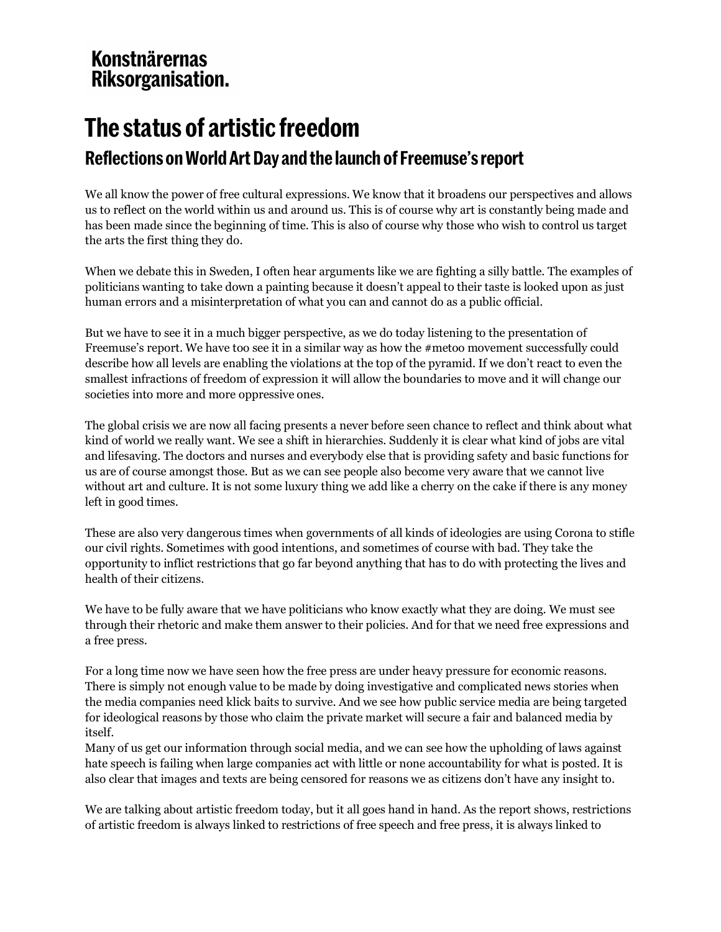# **Konstnärernas** Riksorganisation.

# **The status of artistic freedom**

## **Reflections on World Art Day and the launch of Freemuse's report**

We all know the power of free cultural expressions. We know that it broadens our perspectives and allows us to reflect on the world within us and around us. This is of course why art is constantly being made and has been made since the beginning of time. This is also of course why those who wish to control us target the arts the first thing they do.

When we debate this in Sweden, I often hear arguments like we are fighting a silly battle. The examples of politicians wanting to take down a painting because it doesn't appeal to their taste is looked upon as just human errors and a misinterpretation of what you can and cannot do as a public official.

But we have to see it in a much bigger perspective, as we do today listening to the presentation of Freemuse's report. We have too see it in a similar way as how the #metoo movement successfully could describe how all levels are enabling the violations at the top of the pyramid. If we don't react to even the smallest infractions of freedom of expression it will allow the boundaries to move and it will change our societies into more and more oppressive ones.

The global crisis we are now all facing presents a never before seen chance to reflect and think about what kind of world we really want. We see a shift in hierarchies. Suddenly it is clear what kind of jobs are vital and lifesaving. The doctors and nurses and everybody else that is providing safety and basic functions for us are of course amongst those. But as we can see people also become very aware that we cannot live without art and culture. It is not some luxury thing we add like a cherry on the cake if there is any money left in good times.

These are also very dangerous times when governments of all kinds of ideologies are using Corona to stifle our civil rights. Sometimes with good intentions, and sometimes of course with bad. They take the opportunity to inflict restrictions that go far beyond anything that has to do with protecting the lives and health of their citizens.

We have to be fully aware that we have politicians who know exactly what they are doing. We must see through their rhetoric and make them answer to their policies. And for that we need free expressions and a free press.

For a long time now we have seen how the free press are under heavy pressure for economic reasons. There is simply not enough value to be made by doing investigative and complicated news stories when the media companies need klick baits to survive. And we see how public service media are being targeted for ideological reasons by those who claim the private market will secure a fair and balanced media by itself.

Many of us get our information through social media, and we can see how the upholding of laws against hate speech is failing when large companies act with little or none accountability for what is posted. It is also clear that images and texts are being censored for reasons we as citizens don't have any insight to.

We are talking about artistic freedom today, but it all goes hand in hand. As the report shows, restrictions of artistic freedom is always linked to restrictions of free speech and free press, it is always linked to